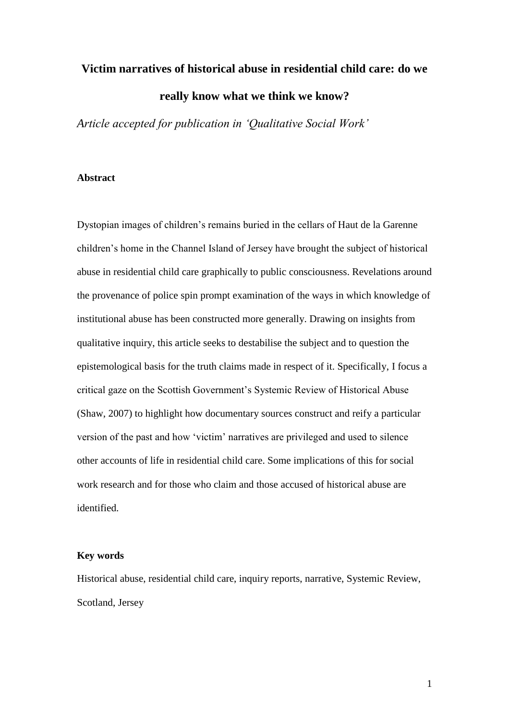# **Victim narratives of historical abuse in residential child care: do we really know what we think we know?**

*Article accepted for publication in "Qualitative Social Work"*

# **Abstract**

Dystopian images of children's remains buried in the cellars of Haut de la Garenne children's home in the Channel Island of Jersey have brought the subject of historical abuse in residential child care graphically to public consciousness. Revelations around the provenance of police spin prompt examination of the ways in which knowledge of institutional abuse has been constructed more generally. Drawing on insights from qualitative inquiry, this article seeks to destabilise the subject and to question the epistemological basis for the truth claims made in respect of it. Specifically, I focus a critical gaze on the Scottish Government's Systemic Review of Historical Abuse (Shaw, 2007) to highlight how documentary sources construct and reify a particular version of the past and how 'victim' narratives are privileged and used to silence other accounts of life in residential child care. Some implications of this for social work research and for those who claim and those accused of historical abuse are identified.

### **Key words**

Historical abuse, residential child care, inquiry reports, narrative, Systemic Review, Scotland, Jersey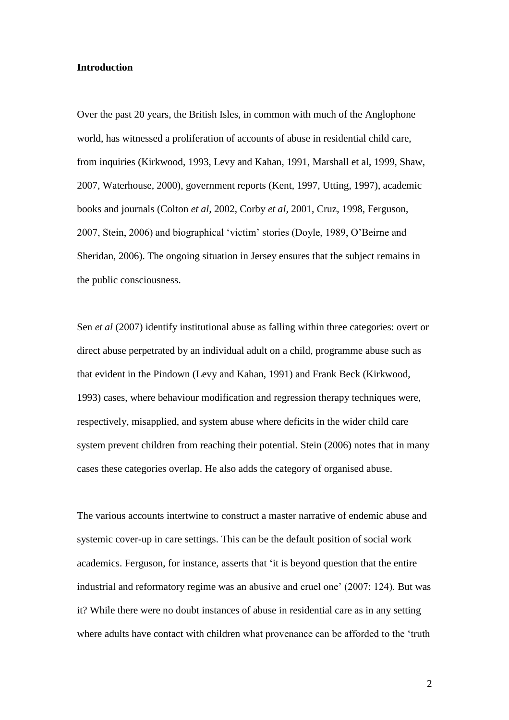#### **Introduction**

Over the past 20 years, the British Isles, in common with much of the Anglophone world, has witnessed a proliferation of accounts of abuse in residential child care, from inquiries (Kirkwood, 1993, Levy and Kahan, 1991, Marshall et al, 1999, Shaw, 2007, Waterhouse, 2000), government reports (Kent, 1997, Utting, 1997), academic books and journals (Colton *et al,* 2002, Corby *et al,* 2001, Cruz, 1998, Ferguson, 2007, Stein, 2006) and biographical 'victim' stories (Doyle, 1989, O'Beirne and Sheridan, 2006). The ongoing situation in Jersey ensures that the subject remains in the public consciousness.

Sen *et al* (2007) identify institutional abuse as falling within three categories: overt or direct abuse perpetrated by an individual adult on a child, programme abuse such as that evident in the Pindown (Levy and Kahan, 1991) and Frank Beck (Kirkwood, 1993) cases, where behaviour modification and regression therapy techniques were, respectively, misapplied, and system abuse where deficits in the wider child care system prevent children from reaching their potential. Stein (2006) notes that in many cases these categories overlap. He also adds the category of organised abuse.

The various accounts intertwine to construct a master narrative of endemic abuse and systemic cover-up in care settings. This can be the default position of social work academics. Ferguson, for instance, asserts that 'it is beyond question that the entire industrial and reformatory regime was an abusive and cruel one' (2007: 124). But was it? While there were no doubt instances of abuse in residential care as in any setting where adults have contact with children what provenance can be afforded to the 'truth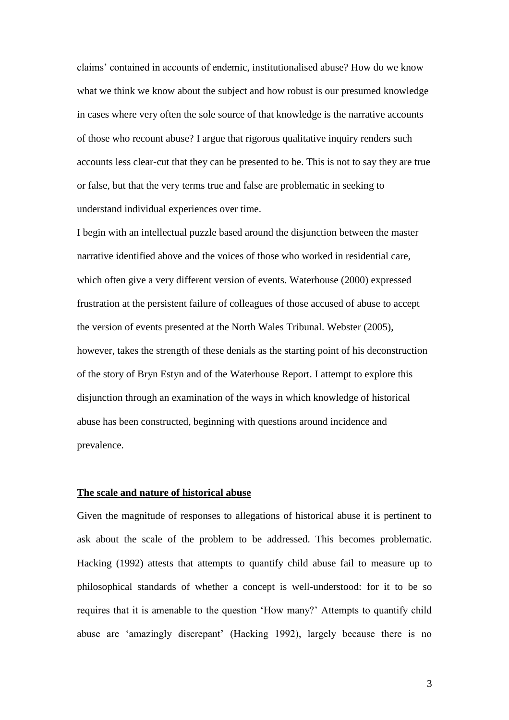claims' contained in accounts of endemic, institutionalised abuse? How do we know what we think we know about the subject and how robust is our presumed knowledge in cases where very often the sole source of that knowledge is the narrative accounts of those who recount abuse? I argue that rigorous qualitative inquiry renders such accounts less clear-cut that they can be presented to be. This is not to say they are true or false, but that the very terms true and false are problematic in seeking to understand individual experiences over time.

I begin with an intellectual puzzle based around the disjunction between the master narrative identified above and the voices of those who worked in residential care, which often give a very different version of events. Waterhouse (2000) expressed frustration at the persistent failure of colleagues of those accused of abuse to accept the version of events presented at the North Wales Tribunal. Webster (2005), however, takes the strength of these denials as the starting point of his deconstruction of the story of Bryn Estyn and of the Waterhouse Report. I attempt to explore this disjunction through an examination of the ways in which knowledge of historical abuse has been constructed, beginning with questions around incidence and prevalence.

# **The scale and nature of historical abuse**

Given the magnitude of responses to allegations of historical abuse it is pertinent to ask about the scale of the problem to be addressed. This becomes problematic. Hacking (1992) attests that attempts to quantify child abuse fail to measure up to philosophical standards of whether a concept is well-understood: for it to be so requires that it is amenable to the question 'How many?' Attempts to quantify child abuse are 'amazingly discrepant' (Hacking 1992), largely because there is no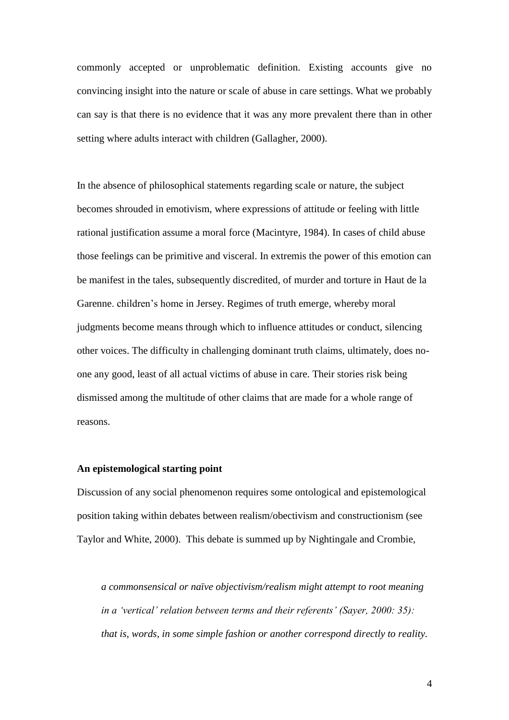commonly accepted or unproblematic definition. Existing accounts give no convincing insight into the nature or scale of abuse in care settings. What we probably can say is that there is no evidence that it was any more prevalent there than in other setting where adults interact with children (Gallagher, 2000).

In the absence of philosophical statements regarding scale or nature, the subject becomes shrouded in emotivism, where expressions of attitude or feeling with little rational justification assume a moral force (Macintyre, 1984). In cases of child abuse those feelings can be primitive and visceral. In extremis the power of this emotion can be manifest in the tales, subsequently discredited, of murder and torture in Haut de la Garenne. children's home in Jersey. Regimes of truth emerge, whereby moral judgments become means through which to influence attitudes or conduct, silencing other voices. The difficulty in challenging dominant truth claims, ultimately, does noone any good, least of all actual victims of abuse in care. Their stories risk being dismissed among the multitude of other claims that are made for a whole range of reasons.

#### **An epistemological starting point**

Discussion of any social phenomenon requires some ontological and epistemological position taking within debates between realism/obectivism and constructionism (see Taylor and White, 2000). This debate is summed up by Nightingale and Crombie,

*a commonsensical or naïve objectivism/realism might attempt to root meaning in a "vertical" relation between terms and their referents" (Sayer, 2000: 35): that is, words, in some simple fashion or another correspond directly to reality.*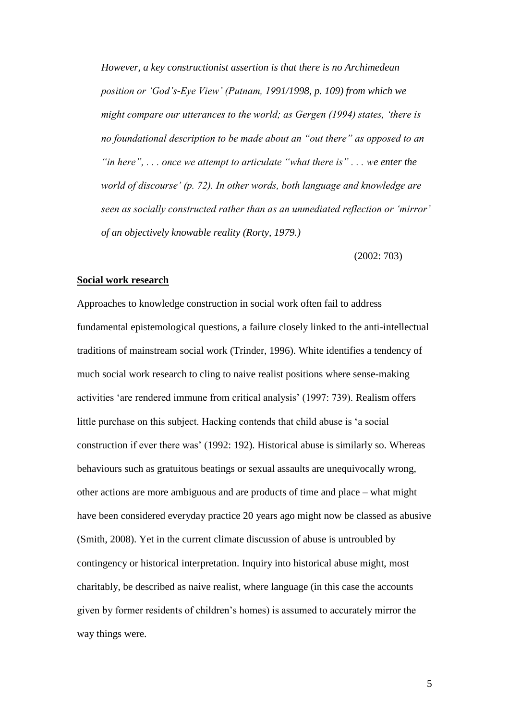*However, a key constructionist assertion is that there is no Archimedean position or "God"s-Eye View" (Putnam, 1991/1998, p. 109) from which we might compare our utterances to the world; as Gergen (1994) states, "there is no foundational description to be made about an "out there" as opposed to an "in here", . . . once we attempt to articulate "what there is" . . . we enter the world of discourse" (p. 72). In other words, both language and knowledge are seen as socially constructed rather than as an unmediated reflection or "mirror" of an objectively knowable reality (Rorty, 1979.)*

(2002: 703)

#### **Social work research**

Approaches to knowledge construction in social work often fail to address fundamental epistemological questions, a failure closely linked to the anti-intellectual traditions of mainstream social work (Trinder, 1996). White identifies a tendency of much social work research to cling to naive realist positions where sense-making activities 'are rendered immune from critical analysis' (1997: 739). Realism offers little purchase on this subject. Hacking contends that child abuse is 'a social construction if ever there was' (1992: 192)*.* Historical abuse is similarly so. Whereas behaviours such as gratuitous beatings or sexual assaults are unequivocally wrong, other actions are more ambiguous and are products of time and place – what might have been considered everyday practice 20 years ago might now be classed as abusive (Smith, 2008). Yet in the current climate discussion of abuse is untroubled by contingency or historical interpretation. Inquiry into historical abuse might, most charitably, be described as naive realist, where language (in this case the accounts given by former residents of children's homes) is assumed to accurately mirror the way things were.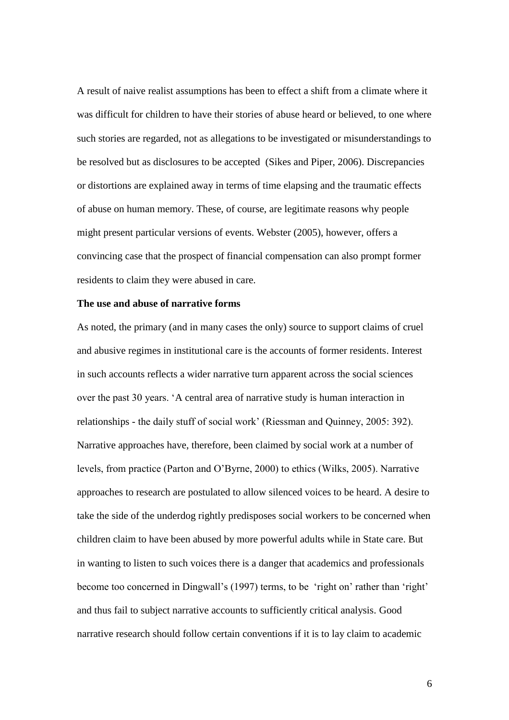A result of naive realist assumptions has been to effect a shift from a climate where it was difficult for children to have their stories of abuse heard or believed, to one where such stories are regarded, not as allegations to be investigated or misunderstandings to be resolved but as disclosures to be accepted (Sikes and Piper, 2006). Discrepancies or distortions are explained away in terms of time elapsing and the traumatic effects of abuse on human memory. These, of course, are legitimate reasons why people might present particular versions of events. Webster (2005), however, offers a convincing case that the prospect of financial compensation can also prompt former residents to claim they were abused in care.

# **The use and abuse of narrative forms**

As noted, the primary (and in many cases the only) source to support claims of cruel and abusive regimes in institutional care is the accounts of former residents. Interest in such accounts reflects a wider narrative turn apparent across the social sciences over the past 30 years. 'A central area of narrative study is human interaction in relationships - the daily stuff of social work' (Riessman and Quinney, 2005: 392). Narrative approaches have, therefore, been claimed by social work at a number of levels, from practice (Parton and O'Byrne, 2000) to ethics (Wilks, 2005). Narrative approaches to research are postulated to allow silenced voices to be heard. A desire to take the side of the underdog rightly predisposes social workers to be concerned when children claim to have been abused by more powerful adults while in State care. But in wanting to listen to such voices there is a danger that academics and professionals become too concerned in Dingwall's (1997) terms, to be 'right on' rather than 'right' and thus fail to subject narrative accounts to sufficiently critical analysis. Good narrative research should follow certain conventions if it is to lay claim to academic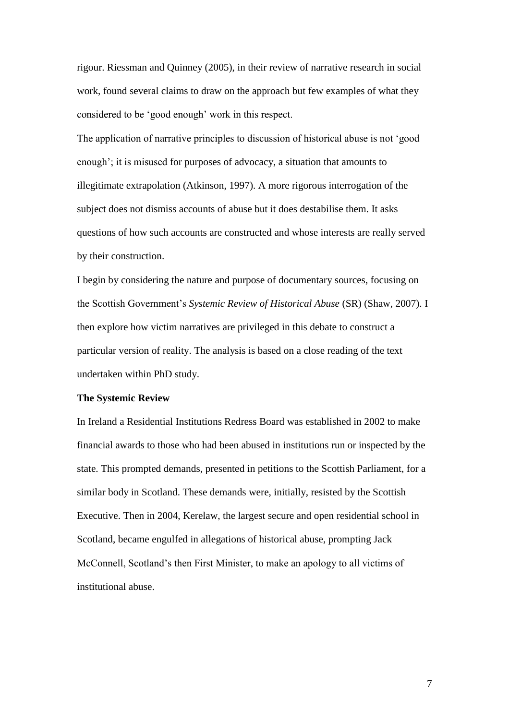rigour. Riessman and Quinney (2005), in their review of narrative research in social work, found several claims to draw on the approach but few examples of what they considered to be 'good enough' work in this respect.

The application of narrative principles to discussion of historical abuse is not 'good enough'; it is misused for purposes of advocacy, a situation that amounts to illegitimate extrapolation (Atkinson, 1997). A more rigorous interrogation of the subject does not dismiss accounts of abuse but it does destabilise them. It asks questions of how such accounts are constructed and whose interests are really served by their construction.

I begin by considering the nature and purpose of documentary sources, focusing on the Scottish Government's *Systemic Review of Historical Abuse* (SR) (Shaw, 2007). I then explore how victim narratives are privileged in this debate to construct a particular version of reality. The analysis is based on a close reading of the text undertaken within PhD study.

#### **The Systemic Review**

In Ireland a Residential Institutions Redress Board was established in 2002 to make financial awards to those who had been abused in institutions run or inspected by the state. This prompted demands, presented in petitions to the Scottish Parliament, for a similar body in Scotland. These demands were, initially, resisted by the Scottish Executive. Then in 2004, Kerelaw, the largest secure and open residential school in Scotland, became engulfed in allegations of historical abuse, prompting Jack McConnell, Scotland's then First Minister, to make an apology to all victims of institutional abuse.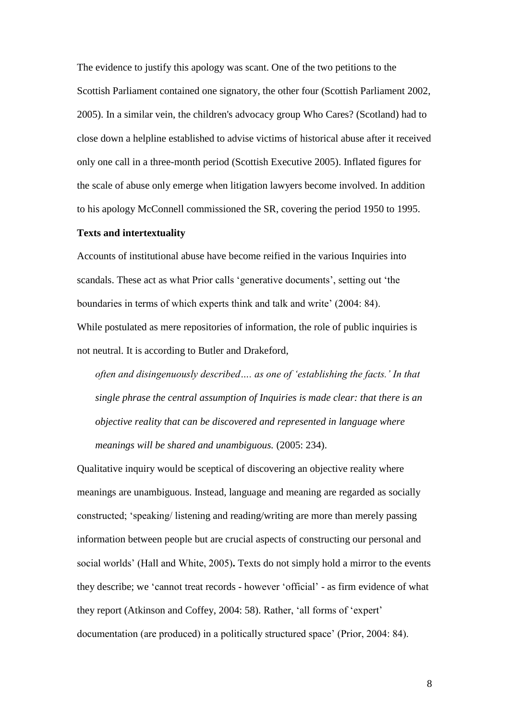The evidence to justify this apology was scant. One of the two petitions to the Scottish Parliament contained one signatory, the other four (Scottish Parliament 2002, 2005). In a similar vein, the children's advocacy group Who Cares? (Scotland) had to close down a helpline established to advise victims of historical abuse after it received only one call in a three-month period (Scottish Executive 2005). Inflated figures for the scale of abuse only emerge when litigation lawyers become involved. In addition to his apology McConnell commissioned the SR, covering the period 1950 to 1995.

#### **Texts and intertextuality**

Accounts of institutional abuse have become reified in the various Inquiries into scandals. These act as what Prior calls 'generative documents', setting out 'the boundaries in terms of which experts think and talk and write' (2004: 84).

While postulated as mere repositories of information, the role of public inquiries is not neutral. It is according to Butler and Drakeford,

*often and disingenuously described…. as one of "establishing the facts." In that single phrase the central assumption of Inquiries is made clear: that there is an objective reality that can be discovered and represented in language where meanings will be shared and unambiguous.* (2005: 234).

Qualitative inquiry would be sceptical of discovering an objective reality where meanings are unambiguous. Instead, language and meaning are regarded as socially constructed; 'speaking/ listening and reading/writing are more than merely passing information between people but are crucial aspects of constructing our personal and social worlds' (Hall and White, 2005)**.** Texts do not simply hold a mirror to the events they describe; we 'cannot treat records - however 'official' - as firm evidence of what they report (Atkinson and Coffey, 2004: 58). Rather, 'all forms of 'expert' documentation (are produced) in a politically structured space' (Prior, 2004: 84).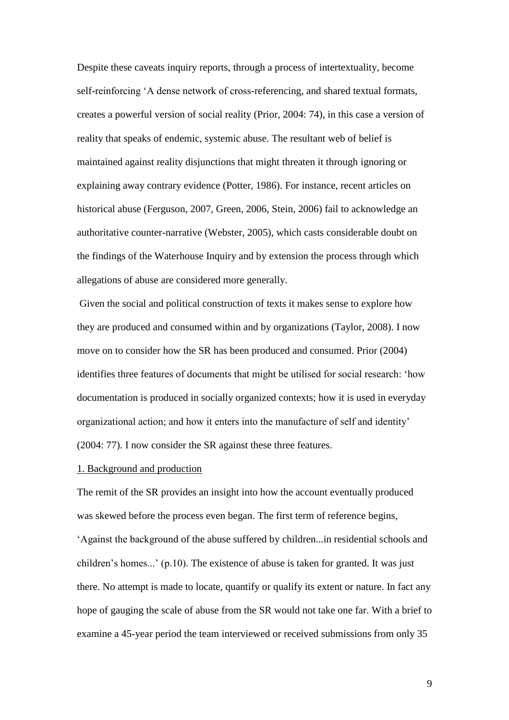Despite these caveats inquiry reports, through a process of intertextuality, become self-reinforcing 'A dense network of cross-referencing, and shared textual formats, creates a powerful version of social reality (Prior, 2004: 74), in this case a version of reality that speaks of endemic, systemic abuse. The resultant web of belief is maintained against reality disjunctions that might threaten it through ignoring or explaining away contrary evidence (Potter, 1986). For instance, recent articles on historical abuse (Ferguson, 2007, Green, 2006, Stein, 2006) fail to acknowledge an authoritative counter-narrative (Webster, 2005), which casts considerable doubt on the findings of the Waterhouse Inquiry and by extension the process through which allegations of abuse are considered more generally.

Given the social and political construction of texts it makes sense to explore how they are produced and consumed within and by organizations (Taylor, 2008). I now move on to consider how the SR has been produced and consumed. Prior (2004) identifies three features of documents that might be utilised for social research: 'how documentation is produced in socially organized contexts; how it is used in everyday organizational action; and how it enters into the manufacture of self and identity' (2004: 77). I now consider the SR against these three features.

#### 1. Background and production

The remit of the SR provides an insight into how the account eventually produced was skewed before the process even began. The first term of reference begins, 'Against the background of the abuse suffered by children...in residential schools and children's homes...' (p.10). The existence of abuse is taken for granted. It was just there. No attempt is made to locate, quantify or qualify its extent or nature. In fact any hope of gauging the scale of abuse from the SR would not take one far. With a brief to examine a 45-year period the team interviewed or received submissions from only 35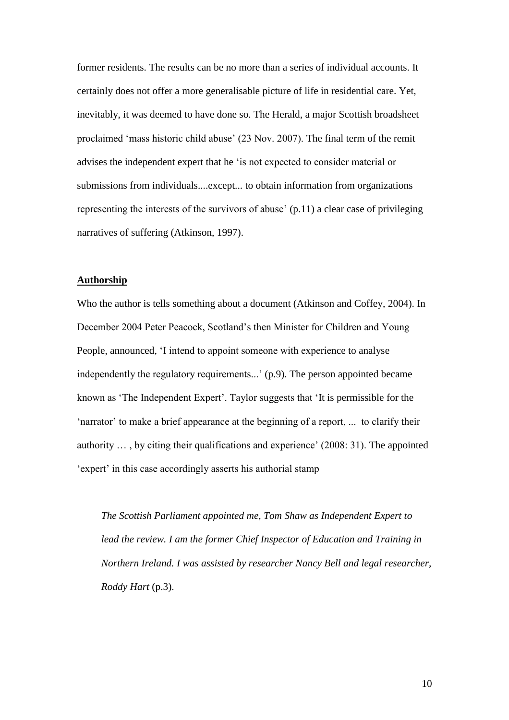former residents. The results can be no more than a series of individual accounts. It certainly does not offer a more generalisable picture of life in residential care. Yet, inevitably, it was deemed to have done so. The Herald, a major Scottish broadsheet proclaimed 'mass historic child abuse' (23 Nov. 2007). The final term of the remit advises the independent expert that he 'is not expected to consider material or submissions from individuals....except... to obtain information from organizations representing the interests of the survivors of abuse' (p.11) a clear case of privileging narratives of suffering (Atkinson, 1997).

# **Authorship**

Who the author is tells something about a document (Atkinson and Coffey, 2004). In December 2004 Peter Peacock, Scotland's then Minister for Children and Young People, announced, 'I intend to appoint someone with experience to analyse independently the regulatory requirements...' (p.9). The person appointed became known as 'The Independent Expert'. Taylor suggests that 'It is permissible for the 'narrator' to make a brief appearance at the beginning of a report, ... to clarify their authority … , by citing their qualifications and experience' (2008: 31). The appointed 'expert' in this case accordingly asserts his authorial stamp

*The Scottish Parliament appointed me, Tom Shaw as Independent Expert to lead the review. I am the former Chief Inspector of Education and Training in Northern Ireland. I was assisted by researcher Nancy Bell and legal researcher, Roddy Hart* (p.3).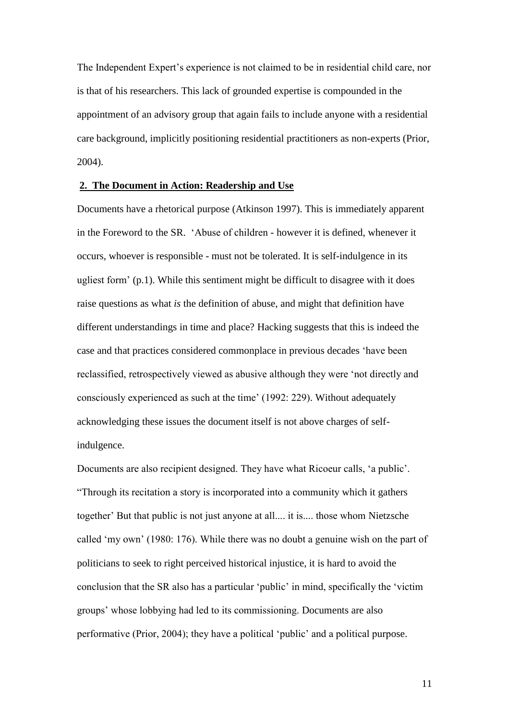The Independent Expert's experience is not claimed to be in residential child care, nor is that of his researchers. This lack of grounded expertise is compounded in the appointment of an advisory group that again fails to include anyone with a residential care background, implicitly positioning residential practitioners as non-experts (Prior, 2004).

# **2. The Document in Action: Readership and Use**

Documents have a rhetorical purpose (Atkinson 1997). This is immediately apparent in the Foreword to the SR. 'Abuse of children - however it is defined, whenever it occurs, whoever is responsible - must not be tolerated. It is self-indulgence in its ugliest form' (p.1). While this sentiment might be difficult to disagree with it does raise questions as what *is* the definition of abuse, and might that definition have different understandings in time and place? Hacking suggests that this is indeed the case and that practices considered commonplace in previous decades 'have been reclassified, retrospectively viewed as abusive although they were 'not directly and consciously experienced as such at the time' (1992: 229). Without adequately acknowledging these issues the document itself is not above charges of selfindulgence.

Documents are also recipient designed. They have what Ricoeur calls, 'a public'. ―Through its recitation a story is incorporated into a community which it gathers together' But that public is not just anyone at all.... it is.... those whom Nietzsche called 'my own' (1980: 176). While there was no doubt a genuine wish on the part of politicians to seek to right perceived historical injustice, it is hard to avoid the conclusion that the SR also has a particular 'public' in mind, specifically the 'victim groups' whose lobbying had led to its commissioning. Documents are also performative (Prior, 2004); they have a political 'public' and a political purpose.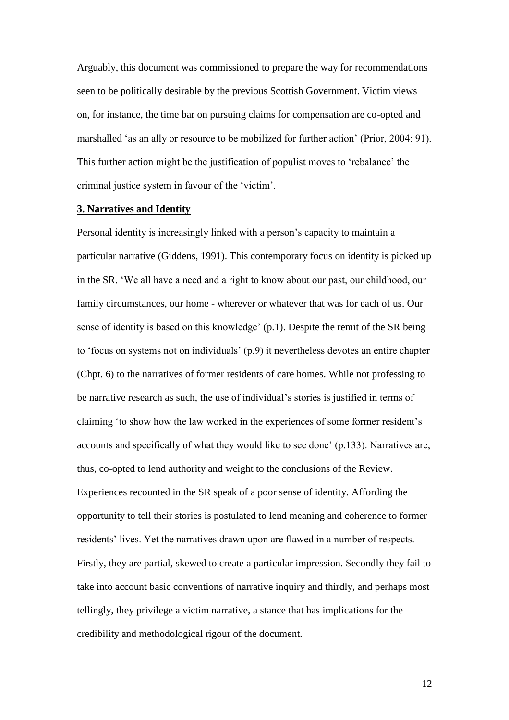Arguably, this document was commissioned to prepare the way for recommendations seen to be politically desirable by the previous Scottish Government. Victim views on, for instance, the time bar on pursuing claims for compensation are co-opted and marshalled 'as an ally or resource to be mobilized for further action' (Prior, 2004: 91). This further action might be the justification of populist moves to 'rebalance' the criminal justice system in favour of the 'victim'.

#### **3. Narratives and Identity**

Personal identity is increasingly linked with a person's capacity to maintain a particular narrative (Giddens, 1991). This contemporary focus on identity is picked up in the SR. 'We all have a need and a right to know about our past, our childhood, our family circumstances, our home - wherever or whatever that was for each of us. Our sense of identity is based on this knowledge' (p.1). Despite the remit of the SR being to 'focus on systems not on individuals' (p.9) it nevertheless devotes an entire chapter (Chpt. 6) to the narratives of former residents of care homes. While not professing to be narrative research as such, the use of individual's stories is justified in terms of claiming 'to show how the law worked in the experiences of some former resident's accounts and specifically of what they would like to see done' (p.133). Narratives are, thus, co-opted to lend authority and weight to the conclusions of the Review. Experiences recounted in the SR speak of a poor sense of identity. Affording the opportunity to tell their stories is postulated to lend meaning and coherence to former residents' lives. Yet the narratives drawn upon are flawed in a number of respects. Firstly, they are partial, skewed to create a particular impression. Secondly they fail to take into account basic conventions of narrative inquiry and thirdly, and perhaps most tellingly, they privilege a victim narrative, a stance that has implications for the credibility and methodological rigour of the document.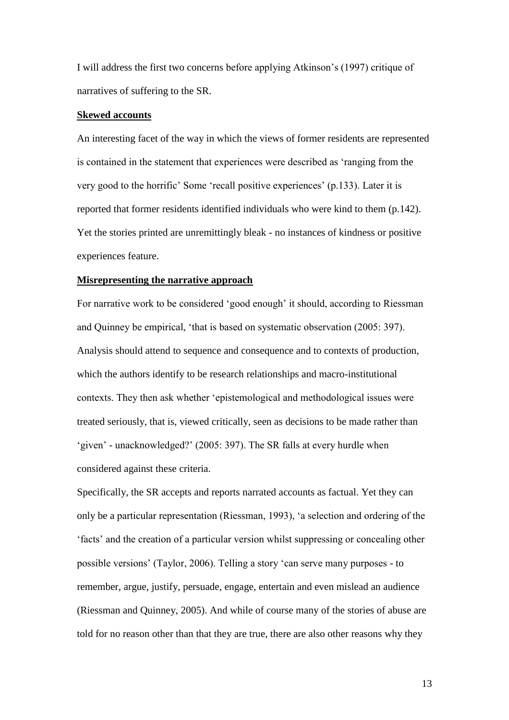I will address the first two concerns before applying Atkinson's (1997) critique of narratives of suffering to the SR.

#### **Skewed accounts**

An interesting facet of the way in which the views of former residents are represented is contained in the statement that experiences were described as 'ranging from the very good to the horrific' Some 'recall positive experiences' (p.133). Later it is reported that former residents identified individuals who were kind to them (p.142). Yet the stories printed are unremittingly bleak - no instances of kindness or positive experiences feature.

# **Misrepresenting the narrative approach**

For narrative work to be considered 'good enough' it should, according to Riessman and Quinney be empirical, 'that is based on systematic observation (2005: 397). Analysis should attend to sequence and consequence and to contexts of production, which the authors identify to be research relationships and macro-institutional contexts. They then ask whether 'epistemological and methodological issues were treated seriously, that is, viewed critically, seen as decisions to be made rather than 'given' - unacknowledged?' (2005: 397). The SR falls at every hurdle when considered against these criteria.

Specifically, the SR accepts and reports narrated accounts as factual. Yet they can only be a particular representation (Riessman, 1993), 'a selection and ordering of the 'facts' and the creation of a particular version whilst suppressing or concealing other possible versions' (Taylor, 2006). Telling a story 'can serve many purposes - to remember, argue, justify, persuade, engage, entertain and even mislead an audience (Riessman and Quinney, 2005). And while of course many of the stories of abuse are told for no reason other than that they are true, there are also other reasons why they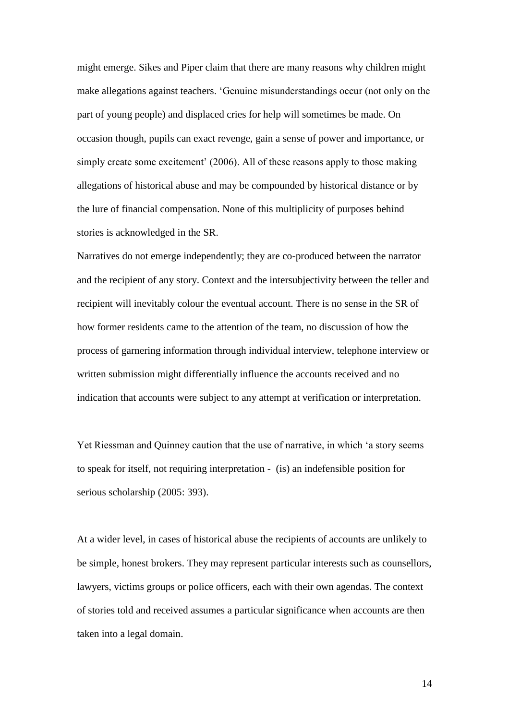might emerge. Sikes and Piper claim that there are many reasons why children might make allegations against teachers. 'Genuine misunderstandings occur (not only on the part of young people) and displaced cries for help will sometimes be made. On occasion though, pupils can exact revenge, gain a sense of power and importance, or simply create some excitement' (2006). All of these reasons apply to those making allegations of historical abuse and may be compounded by historical distance or by the lure of financial compensation. None of this multiplicity of purposes behind stories is acknowledged in the SR.

Narratives do not emerge independently; they are co-produced between the narrator and the recipient of any story. Context and the intersubjectivity between the teller and recipient will inevitably colour the eventual account. There is no sense in the SR of how former residents came to the attention of the team, no discussion of how the process of garnering information through individual interview, telephone interview or written submission might differentially influence the accounts received and no indication that accounts were subject to any attempt at verification or interpretation.

Yet Riessman and Quinney caution that the use of narrative, in which 'a story seems to speak for itself, not requiring interpretation - (is) an indefensible position for serious scholarship (2005: 393).

At a wider level, in cases of historical abuse the recipients of accounts are unlikely to be simple, honest brokers. They may represent particular interests such as counsellors, lawyers, victims groups or police officers, each with their own agendas. The context of stories told and received assumes a particular significance when accounts are then taken into a legal domain.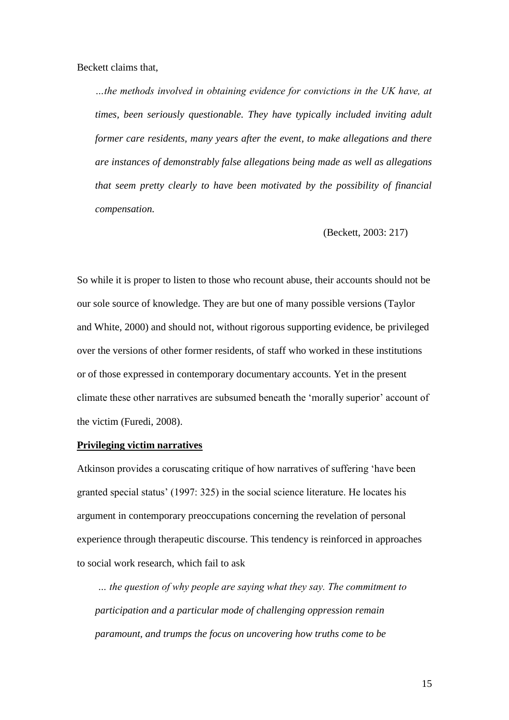Beckett claims that,

*…the methods involved in obtaining evidence for convictions in the UK have, at times, been seriously questionable. They have typically included inviting adult former care residents, many years after the event, to make allegations and there are instances of demonstrably false allegations being made as well as allegations that seem pretty clearly to have been motivated by the possibility of financial compensation.*

(Beckett, 2003: 217)

So while it is proper to listen to those who recount abuse, their accounts should not be our sole source of knowledge. They are but one of many possible versions (Taylor and White, 2000) and should not, without rigorous supporting evidence, be privileged over the versions of other former residents, of staff who worked in these institutions or of those expressed in contemporary documentary accounts. Yet in the present climate these other narratives are subsumed beneath the 'morally superior' account of the victim (Furedi, 2008).

# **Privileging victim narratives**

Atkinson provides a coruscating critique of how narratives of suffering 'have been granted special status' (1997: 325) in the social science literature. He locates his argument in contemporary preoccupations concerning the revelation of personal experience through therapeutic discourse. This tendency is reinforced in approaches to social work research, which fail to ask

*… the question of why people are saying what they say. The commitment to participation and a particular mode of challenging oppression remain paramount, and trumps the focus on uncovering how truths come to be*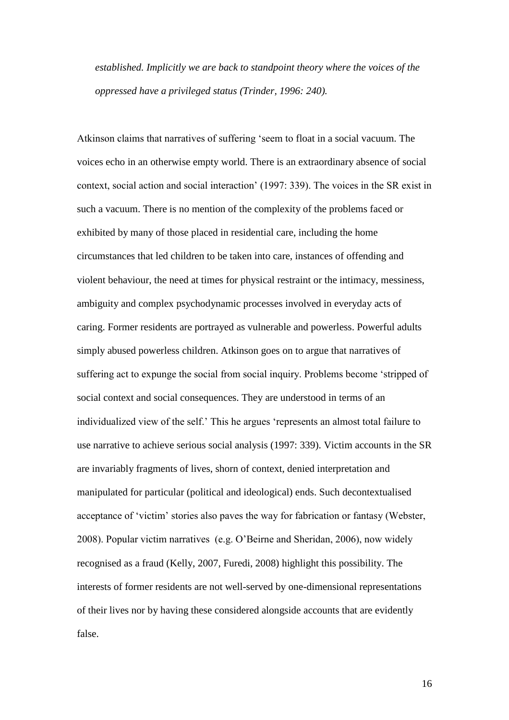*established. Implicitly we are back to standpoint theory where the voices of the oppressed have a privileged status (Trinder, 1996: 240).*

Atkinson claims that narratives of suffering 'seem to float in a social vacuum. The voices echo in an otherwise empty world. There is an extraordinary absence of social context, social action and social interaction' (1997: 339). The voices in the SR exist in such a vacuum. There is no mention of the complexity of the problems faced or exhibited by many of those placed in residential care, including the home circumstances that led children to be taken into care, instances of offending and violent behaviour, the need at times for physical restraint or the intimacy, messiness, ambiguity and complex psychodynamic processes involved in everyday acts of caring. Former residents are portrayed as vulnerable and powerless. Powerful adults simply abused powerless children. Atkinson goes on to argue that narratives of suffering act to expunge the social from social inquiry. Problems become 'stripped of social context and social consequences. They are understood in terms of an individualized view of the self.' This he argues 'represents an almost total failure to use narrative to achieve serious social analysis (1997: 339). Victim accounts in the SR are invariably fragments of lives, shorn of context, denied interpretation and manipulated for particular (political and ideological) ends. Such decontextualised acceptance of 'victim' stories also paves the way for fabrication or fantasy (Webster, 2008). Popular victim narratives (e.g. O'Beirne and Sheridan, 2006), now widely recognised as a fraud (Kelly, 2007, Furedi, 2008) highlight this possibility. The interests of former residents are not well-served by one-dimensional representations of their lives nor by having these considered alongside accounts that are evidently false.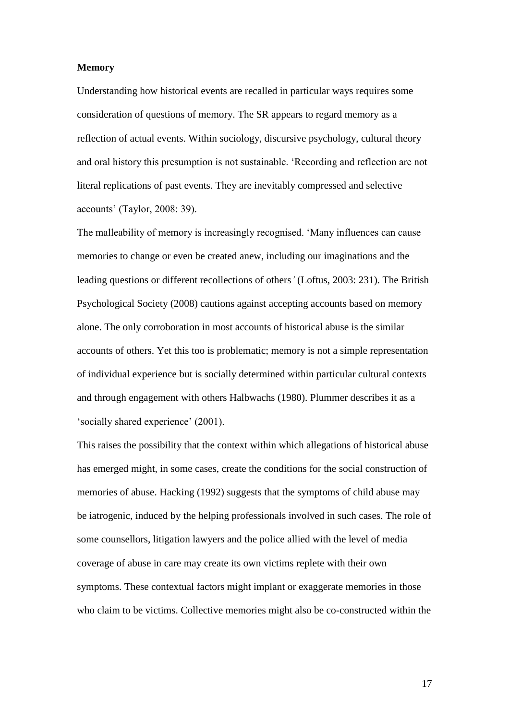### **Memory**

Understanding how historical events are recalled in particular ways requires some consideration of questions of memory. The SR appears to regard memory as a reflection of actual events. Within sociology, discursive psychology, cultural theory and oral history this presumption is not sustainable. 'Recording and reflection are not literal replications of past events. They are inevitably compressed and selective accounts' (Taylor, 2008: 39).

The malleability of memory is increasingly recognised. 'Many influences can cause memories to change or even be created anew, including our imaginations and the leading questions or different recollections of others*"* (Loftus, 2003: 231). The British Psychological Society (2008) cautions against accepting accounts based on memory alone. The only corroboration in most accounts of historical abuse is the similar accounts of others. Yet this too is problematic; memory is not a simple representation of individual experience but is socially determined within particular cultural contexts and through engagement with others Halbwachs (1980). Plummer describes it as a 'socially shared experience' (2001).

This raises the possibility that the context within which allegations of historical abuse has emerged might, in some cases, create the conditions for the social construction of memories of abuse. Hacking (1992) suggests that the symptoms of child abuse may be iatrogenic, induced by the helping professionals involved in such cases. The role of some counsellors, litigation lawyers and the police allied with the level of media coverage of abuse in care may create its own victims replete with their own symptoms. These contextual factors might implant or exaggerate memories in those who claim to be victims. Collective memories might also be co-constructed within the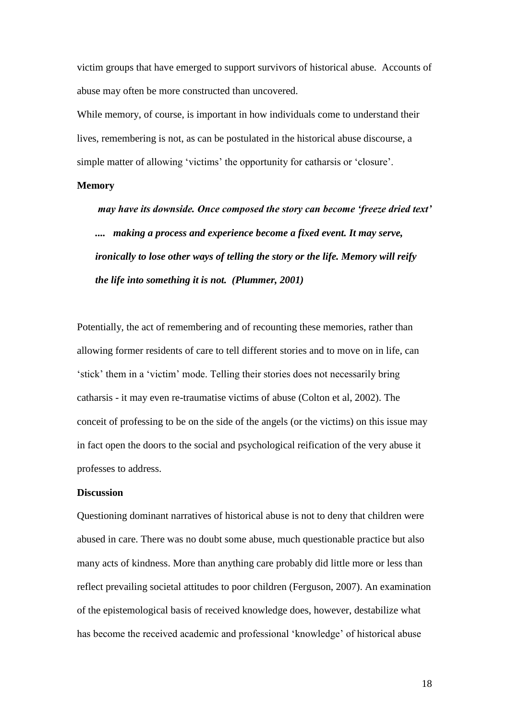victim groups that have emerged to support survivors of historical abuse. Accounts of abuse may often be more constructed than uncovered.

While memory, of course, is important in how individuals come to understand their lives, remembering is not, as can be postulated in the historical abuse discourse, a simple matter of allowing 'victims' the opportunity for catharsis or 'closure'.

# **Memory**

*may have its downside. Once composed the story can become 'freeze dried text' .... making a process and experience become a fixed event. It may serve, ironically to lose other ways of telling the story or the life. Memory will reify the life into something it is not. (Plummer, 2001)*

Potentially, the act of remembering and of recounting these memories, rather than allowing former residents of care to tell different stories and to move on in life, can 'stick' them in a 'victim' mode. Telling their stories does not necessarily bring catharsis - it may even re-traumatise victims of abuse (Colton et al, 2002). The conceit of professing to be on the side of the angels (or the victims) on this issue may in fact open the doors to the social and psychological reification of the very abuse it professes to address.

#### **Discussion**

Questioning dominant narratives of historical abuse is not to deny that children were abused in care. There was no doubt some abuse, much questionable practice but also many acts of kindness. More than anything care probably did little more or less than reflect prevailing societal attitudes to poor children (Ferguson, 2007). An examination of the epistemological basis of received knowledge does, however, destabilize what has become the received academic and professional 'knowledge' of historical abuse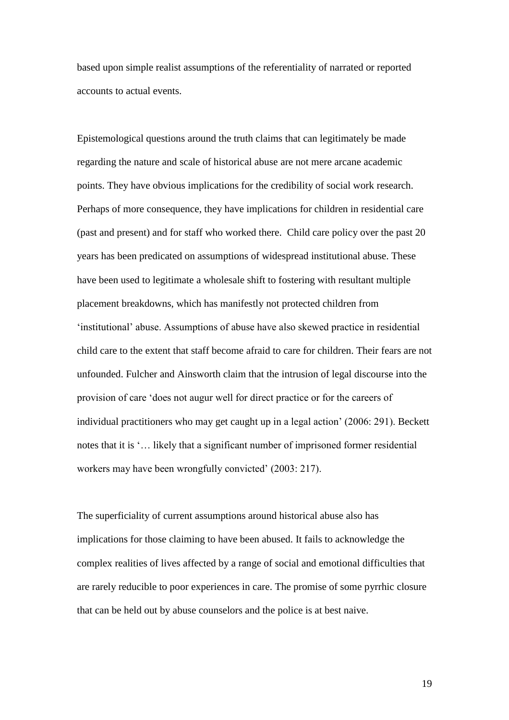based upon simple realist assumptions of the referentiality of narrated or reported accounts to actual events.

Epistemological questions around the truth claims that can legitimately be made regarding the nature and scale of historical abuse are not mere arcane academic points. They have obvious implications for the credibility of social work research. Perhaps of more consequence, they have implications for children in residential care (past and present) and for staff who worked there. Child care policy over the past 20 years has been predicated on assumptions of widespread institutional abuse. These have been used to legitimate a wholesale shift to fostering with resultant multiple placement breakdowns, which has manifestly not protected children from 'institutional' abuse. Assumptions of abuse have also skewed practice in residential child care to the extent that staff become afraid to care for children. Their fears are not unfounded. Fulcher and Ainsworth claim that the intrusion of legal discourse into the provision of care 'does not augur well for direct practice or for the careers of individual practitioners who may get caught up in a legal action' (2006: 291). Beckett notes that it is '… likely that a significant number of imprisoned former residential workers may have been wrongfully convicted' (2003: 217).

The superficiality of current assumptions around historical abuse also has implications for those claiming to have been abused. It fails to acknowledge the complex realities of lives affected by a range of social and emotional difficulties that are rarely reducible to poor experiences in care. The promise of some pyrrhic closure that can be held out by abuse counselors and the police is at best naive.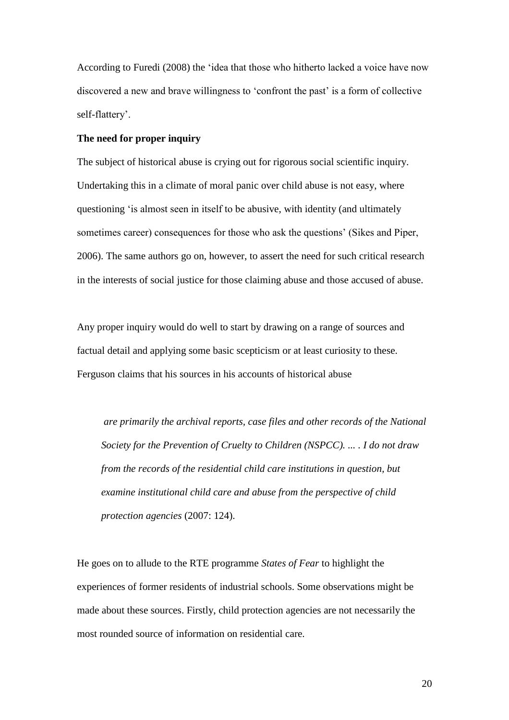According to Furedi (2008) the 'idea that those who hitherto lacked a voice have now discovered a new and brave willingness to 'confront the past' is a form of collective self-flattery'.

#### **The need for proper inquiry**

The subject of historical abuse is crying out for rigorous social scientific inquiry. Undertaking this in a climate of moral panic over child abuse is not easy, where questioning 'is almost seen in itself to be abusive, with identity (and ultimately sometimes career) consequences for those who ask the questions' (Sikes and Piper, 2006). The same authors go on, however, to assert the need for such critical research in the interests of social justice for those claiming abuse and those accused of abuse.

Any proper inquiry would do well to start by drawing on a range of sources and factual detail and applying some basic scepticism or at least curiosity to these. Ferguson claims that his sources in his accounts of historical abuse

*are primarily the archival reports, case files and other records of the National Society for the Prevention of Cruelty to Children (NSPCC). ... . I do not draw from the records of the residential child care institutions in question, but examine institutional child care and abuse from the perspective of child protection agencies* (2007: 124).

He goes on to allude to the RTE programme *States of Fear* to highlight the experiences of former residents of industrial schools. Some observations might be made about these sources. Firstly, child protection agencies are not necessarily the most rounded source of information on residential care.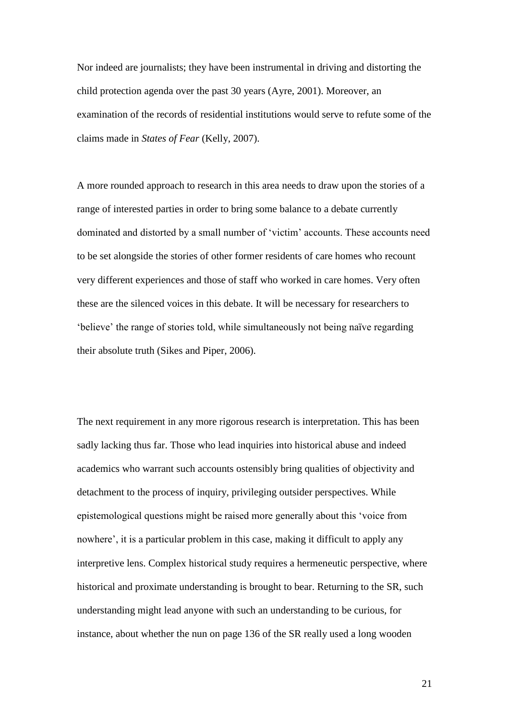Nor indeed are journalists; they have been instrumental in driving and distorting the child protection agenda over the past 30 years (Ayre, 2001). Moreover, an examination of the records of residential institutions would serve to refute some of the claims made in *States of Fear* (Kelly, 2007).

A more rounded approach to research in this area needs to draw upon the stories of a range of interested parties in order to bring some balance to a debate currently dominated and distorted by a small number of 'victim' accounts. These accounts need to be set alongside the stories of other former residents of care homes who recount very different experiences and those of staff who worked in care homes. Very often these are the silenced voices in this debate. It will be necessary for researchers to 'believe' the range of stories told, while simultaneously not being naïve regarding their absolute truth (Sikes and Piper, 2006).

The next requirement in any more rigorous research is interpretation. This has been sadly lacking thus far. Those who lead inquiries into historical abuse and indeed academics who warrant such accounts ostensibly bring qualities of objectivity and detachment to the process of inquiry, privileging outsider perspectives. While epistemological questions might be raised more generally about this 'voice from nowhere', it is a particular problem in this case, making it difficult to apply any interpretive lens. Complex historical study requires a hermeneutic perspective, where historical and proximate understanding is brought to bear. Returning to the SR, such understanding might lead anyone with such an understanding to be curious, for instance, about whether the nun on page 136 of the SR really used a long wooden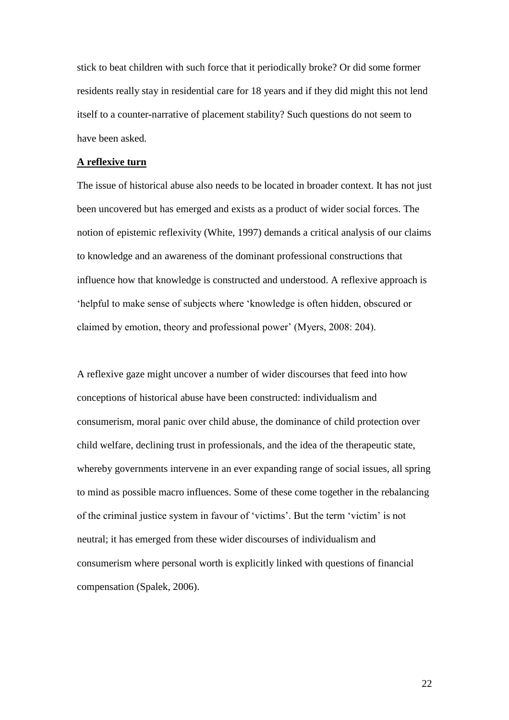stick to beat children with such force that it periodically broke? Or did some former residents really stay in residential care for 18 years and if they did might this not lend itself to a counter-narrative of placement stability? Such questions do not seem to have been asked.

#### **A reflexive turn**

The issue of historical abuse also needs to be located in broader context. It has not just been uncovered but has emerged and exists as a product of wider social forces. The notion of epistemic reflexivity (White, 1997) demands a critical analysis of our claims to knowledge and an awareness of the dominant professional constructions that influence how that knowledge is constructed and understood. A reflexive approach is 'helpful to make sense of subjects where 'knowledge is often hidden, obscured or claimed by emotion, theory and professional power' (Myers, 2008: 204).

A reflexive gaze might uncover a number of wider discourses that feed into how conceptions of historical abuse have been constructed: individualism and consumerism, moral panic over child abuse, the dominance of child protection over child welfare, declining trust in professionals, and the idea of the therapeutic state, whereby governments intervene in an ever expanding range of social issues, all spring to mind as possible macro influences. Some of these come together in the rebalancing of the criminal justice system in favour of 'victims'. But the term 'victim' is not neutral; it has emerged from these wider discourses of individualism and consumerism where personal worth is explicitly linked with questions of financial compensation (Spalek, 2006).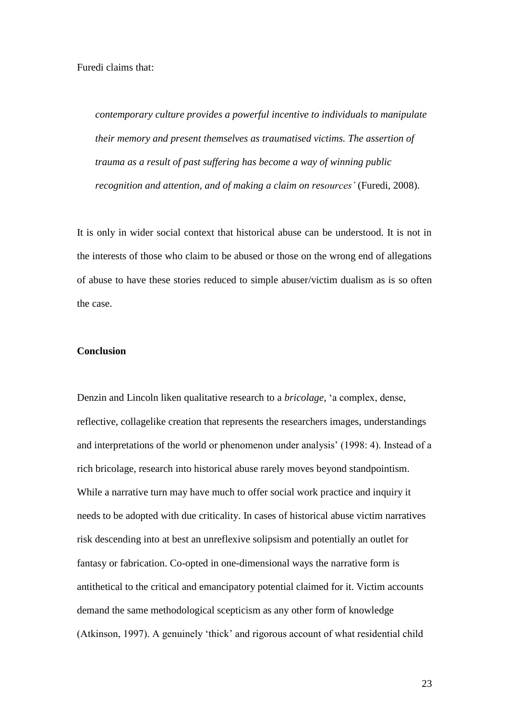*contemporary culture provides a powerful incentive to individuals to manipulate their memory and present themselves as traumatised victims. The assertion of trauma as a result of past suffering has become a way of winning public recognition and attention, and of making a claim on resources"* (Furedi, 2008).

It is only in wider social context that historical abuse can be understood. It is not in the interests of those who claim to be abused or those on the wrong end of allegations of abuse to have these stories reduced to simple abuser/victim dualism as is so often the case.

# **Conclusion**

Denzin and Lincoln liken qualitative research to a *bricolage,* 'a complex, dense, reflective, collagelike creation that represents the researchers images, understandings and interpretations of the world or phenomenon under analysis' (1998: 4). Instead of a rich bricolage, research into historical abuse rarely moves beyond standpointism. While a narrative turn may have much to offer social work practice and inquiry it needs to be adopted with due criticality. In cases of historical abuse victim narratives risk descending into at best an unreflexive solipsism and potentially an outlet for fantasy or fabrication. Co-opted in one-dimensional ways the narrative form is antithetical to the critical and emancipatory potential claimed for it. Victim accounts demand the same methodological scepticism as any other form of knowledge (Atkinson, 1997). A genuinely 'thick' and rigorous account of what residential child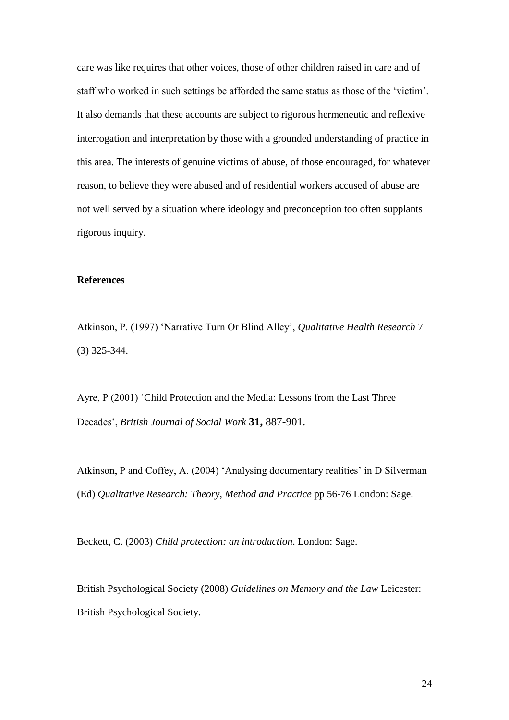care was like requires that other voices, those of other children raised in care and of staff who worked in such settings be afforded the same status as those of the 'victim'. It also demands that these accounts are subject to rigorous hermeneutic and reflexive interrogation and interpretation by those with a grounded understanding of practice in this area. The interests of genuine victims of abuse, of those encouraged, for whatever reason, to believe they were abused and of residential workers accused of abuse are not well served by a situation where ideology and preconception too often supplants rigorous inquiry.

# **References**

Atkinson, P. (1997) 'Narrative Turn Or Blind Alley', *Qualitative Health Research* 7 (3) 325-344.

Ayre, P (2001) 'Child Protection and the Media: Lessons from the Last Three Decades', *British Journal of Social Work* **31,** 887-901.

Atkinson, P and Coffey, A. (2004) 'Analysing documentary realities' in D Silverman (Ed) *Qualitative Research: Theory, Method and Practice* pp 56-76 London: Sage.

Beckett, C. (2003) *Child protection: an introduction*. London: Sage.

British Psychological Society (2008) *Guidelines on Memory and the Law* Leicester: British Psychological Society.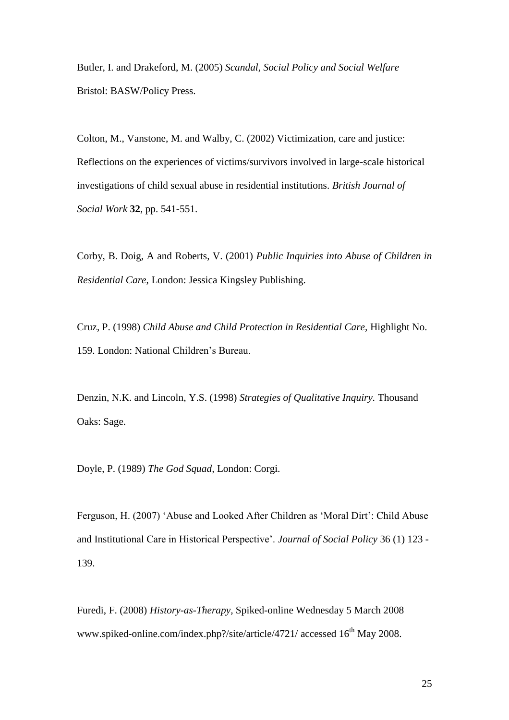Butler, I. and Drakeford, M. (2005) *Scandal, Social Policy and Social Welfare* Bristol: BASW/Policy Press.

Colton, M., Vanstone, M. and Walby, C. (2002) Victimization, care and justice: Reflections on the experiences of victims/survivors involved in large-scale historical investigations of child sexual abuse in residential institutions. *British Journal of Social Work* **32**, pp. 541-551.

Corby, B. Doig, A and Roberts, V. (2001) *Public Inquiries into Abuse of Children in Residential Care*, London: Jessica Kingsley Publishing.

Cruz, P. (1998) *Child Abuse and Child Protection in Residential Care,* Highlight No. 159. London: National Children's Bureau.

Denzin, N.K. and Lincoln, Y.S. (1998) *Strategies of Qualitative Inquiry.* Thousand Oaks: Sage.

Doyle, P. (1989) *The God Squad,* London: Corgi.

Ferguson, H. (2007) 'Abuse and Looked After Children as 'Moral Dirt': Child Abuse and Institutional Care in Historical Perspective'. *Journal of Social Policy* 36 (1) 123 - 139.

Furedi, F. (2008) *History-as-Therapy,* Spiked-online Wednesday 5 March 2008 www.spiked-online.com/index.php?/site/article/4721/ accessed 16<sup>th</sup> May 2008.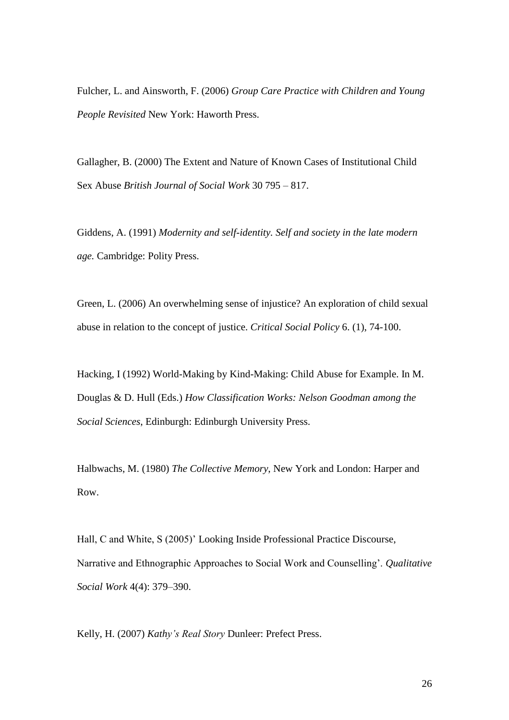Fulcher, L. and Ainsworth, F. (2006) *Group Care Practice with Children and Young People Revisited* New York: Haworth Press.

Gallagher, B. (2000) The Extent and Nature of Known Cases of Institutional Child Sex Abuse *British Journal of Social Work* 30 795 – 817.

Giddens, A. (1991) *Modernity and self-identity. Self and society in the late modern age.* Cambridge: Polity Press.

Green, L. (2006) An overwhelming sense of injustice? An exploration of child sexual abuse in relation to the concept of justice. *Critical Social Policy* 6. (1), 74-100.

Hacking, I (1992) World-Making by Kind-Making: Child Abuse for Example. In M. Douglas & D. Hull (Eds.) *How Classification Works: Nelson Goodman among the Social Sciences*, Edinburgh: Edinburgh University Press.

Halbwachs, M. (1980) *The Collective Memory*, New York and London: Harper and Row.

Hall, C and White, S (2005)' Looking Inside Professional Practice Discourse, Narrative and Ethnographic Approaches to Social Work and Counselling'. *Qualitative Social Work* 4(4): 379–390.

Kelly, H. (2007) *Kathy"s Real Story* Dunleer: Prefect Press.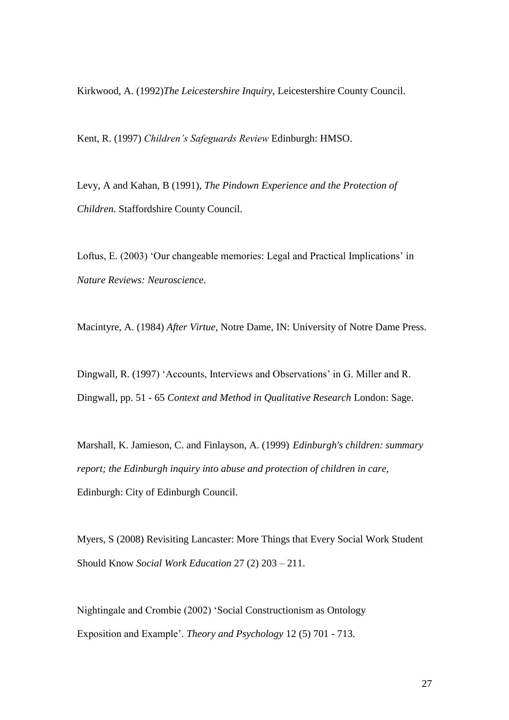Kirkwood, A. (1992)*The Leicestershire Inquiry*, Leicestershire County Council.

Kent, R. (1997) *Children"s Safeguards Review* Edinburgh: HMSO.

Levy, A and Kahan, B (1991), *The Pindown Experience and the Protection of Children*. Staffordshire County Council.

Loftus, E. (2003) 'Our changeable memories: Legal and Practical Implications' in *Nature Reviews: Neuroscience*.

Macintyre, A. (1984) *After Virtue,* Notre Dame, IN: University of Notre Dame Press.

Dingwall, R. (1997) 'Accounts, Interviews and Observations' in G. Miller and R. Dingwall, pp. 51 - 65 *Context and Method in Qualitative Research* London: Sage.

Marshall, K. Jamieson, C. and Finlayson, A. (1999) *Edinburgh's children: summary report; the Edinburgh inquiry into abuse and protection of children in care,* Edinburgh: City of Edinburgh Council.

Myers, S (2008) Revisiting Lancaster: More Things that Every Social Work Student Should Know *Social Work Education* 27 (2) 203 – 211.

Nightingale and Crombie (2002) 'Social Constructionism as Ontology Exposition and Example'. *Theory and Psychology* 12 (5) 701 - 713.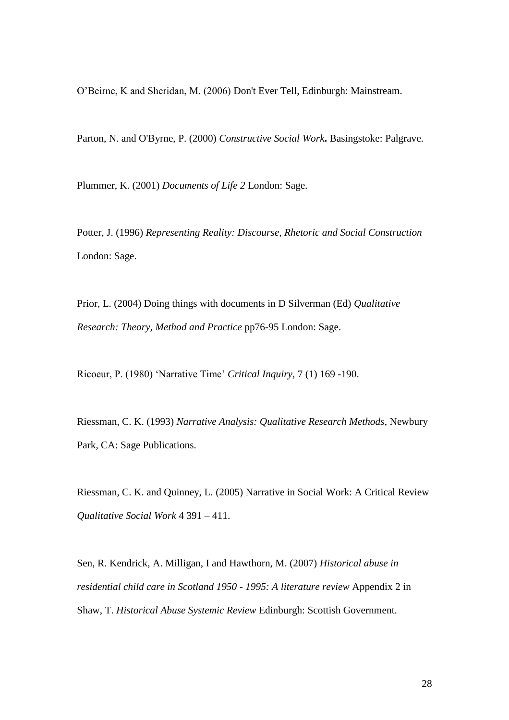O'Beirne, K and Sheridan, M. (2006) Don't Ever Tell, Edinburgh: Mainstream.

Parton, N. and O'Byrne, P. (2000) *Constructive Social Work***.** Basingstoke: Palgrave.

Plummer, K. (2001) *Documents of Life 2* London: Sage.

Potter, J. (1996) *Representing Reality: Discourse, Rhetoric and Social Construction*  London: Sage.

Prior, L. (2004) Doing things with documents in D Silverman (Ed) *Qualitative Research: Theory, Method and Practice* pp76-95 London: Sage.

Ricoeur, P. (1980) 'Narrative Time' *Critical Inquiry,* 7 (1) 169 -190.

Riessman, C. K. (1993) *Narrative Analysis: Qualitative Research Methods*, Newbury Park, CA: Sage Publications.

Riessman, C. K. and Quinney, L. (2005) Narrative in Social Work: A Critical Review *Qualitative Social Work* 4 391 – 411.

Sen, R. Kendrick, A. Milligan, I and Hawthorn, M. (2007) *Historical abuse in residential child care in Scotland 1950 - 1995: A literature review* Appendix 2 in Shaw, T. *Historical Abuse Systemic Review* Edinburgh: Scottish Government.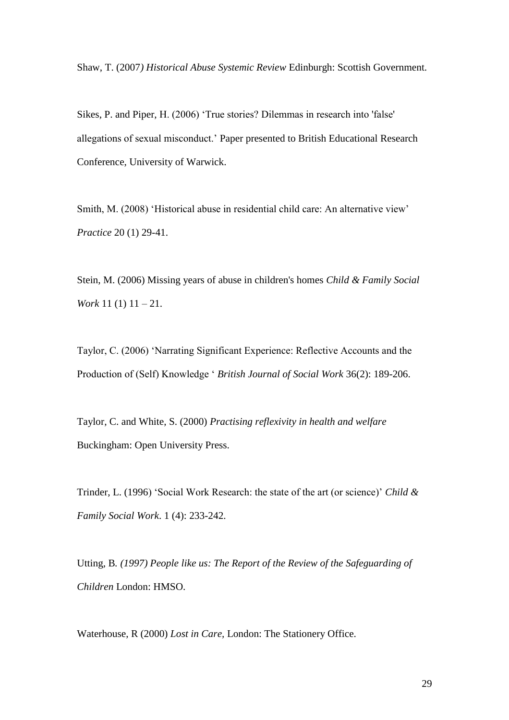Shaw, T. (2007*) Historical Abuse Systemic Review* Edinburgh: Scottish Government.

Sikes, P. and Piper, H. (2006) 'True stories? Dilemmas in research into 'false' allegations of sexual misconduct.' Paper presented to British Educational Research Conference, University of Warwick.

Smith, M. (2008) 'Historical abuse in residential child care: An alternative view' *Practice* 20 (1) 29-41.

Stein, M. (2006) Missing years of abuse in children's homes *Child & Family Social Work* 11 (1) 11 – 21.

Taylor, C. (2006) 'Narrating Significant Experience: Reflective Accounts and the Production of (Self) Knowledge ' *British Journal of Social Work* 36(2): 189-206.

Taylor, C. and White, S. (2000) *Practising reflexivity in health and welfare* Buckingham: Open University Press.

Trinder, L. (1996) 'Social Work Research: the state of the art (or science)' *Child & Family Social Work*. 1 (4): 233-242.

Utting, B*. (1997) People like us: The Report of the Review of the Safeguarding of Children* London: HMSO.

Waterhouse, R (2000) *Lost in Care,* London: The Stationery Office.